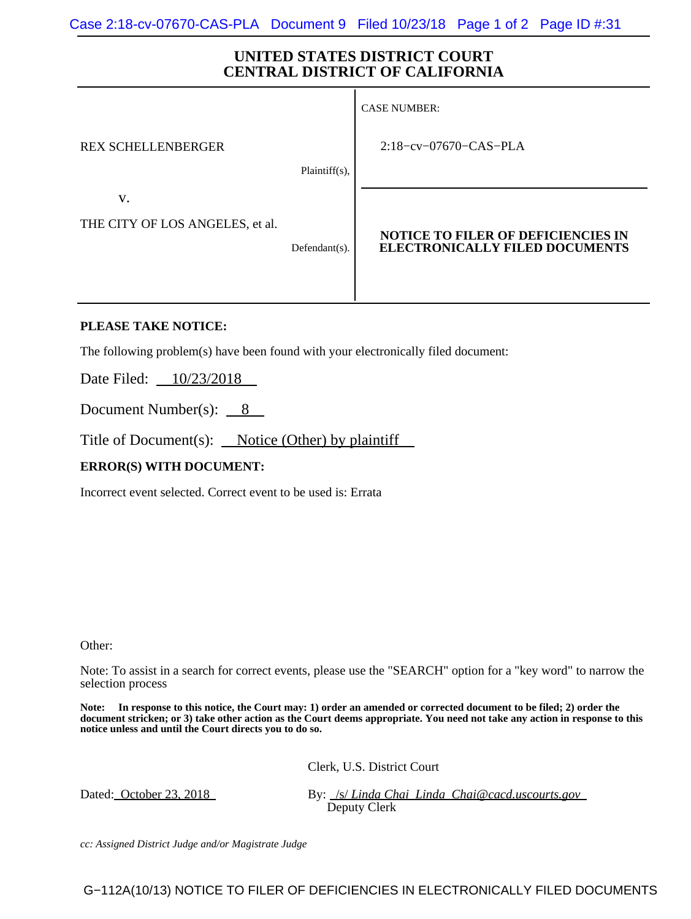## **UNITED STATES DISTRICT COURT CENTRAL DISTRICT OF CALIFORNIA**

|                                 |               | <b>CASE NUMBER:</b>                                                                |
|---------------------------------|---------------|------------------------------------------------------------------------------------|
| <b>REX SCHELLENBERGER</b>       |               | $2:18$ -cv-07670-CAS-PLA                                                           |
|                                 | Plaintiff(s), |                                                                                    |
| V.                              |               |                                                                                    |
| THE CITY OF LOS ANGELES, et al. | Defendant(s). | <b>NOTICE TO FILER OF DEFICIENCIES IN</b><br><b>ELECTRONICALLY FILED DOCUMENTS</b> |

## **PLEASE TAKE NOTICE:**

The following problem(s) have been found with your electronically filed document:

Date Filed: <u>10/23/2018</u>

Document Number(s):  $\_\ 8$ 

Title of Document(s):  $\_\text{Notice (Other) by plaintiff}$ 

## **ERROR(S) WITH DOCUMENT:**

Incorrect event selected. Correct event to be used is: Errata

Other:

Note: To assist in a search for correct events, please use the "SEARCH" option for a "key word" to narrow the selection process

**Note: In response to this notice, the Court may: 1) order an amended or corrected document to be filed; 2) order the document stricken; or 3) take other action as the Court deems appropriate. You need not take any action in response to this notice unless and until the Court directs you to do so.**

Clerk, U.S. District Court

Dated: <u>October 23, 2018</u> By: */s/ Linda Chai Linda Chai@cacd.uscourts.gov* Deputy Clerk

*cc: Assigned District Judge and/or Magistrate Judge*